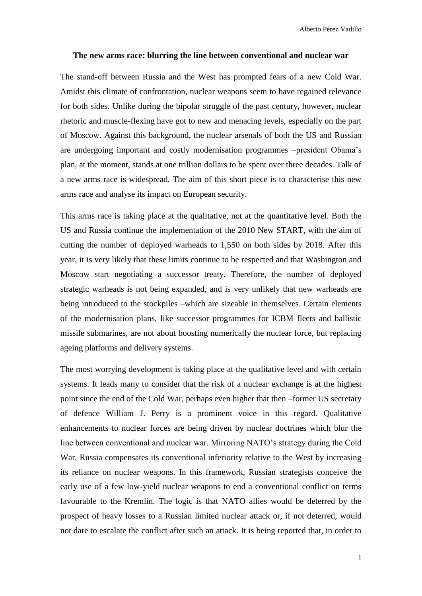## **The new arms race: blurring the line between conventional and nuclear war**

The stand-off between Russia and the West has prompted fears of a new Cold War. Amidst this climate of confrontation, nuclear weapons seem to have regained relevance for both sides. Unlike during the bipolar struggle of the past century, however, nuclear rhetoric and muscle-flexing have got to new and menacing levels, especially on the part of Moscow. Against this background, the nuclear arsenals of both the US and Russian are undergoing important and costly modernisation programmes –president Obama's plan, at the moment, stands at one trillion dollars to be spent over three decades. Talk of a new arms race is widespread. The aim of this short piece is to characterise this new arms race and analyse its impact on European security.

This arms race is taking place at the qualitative, not at the quantitative level. Both the US and Russia continue the implementation of the 2010 New START, with the aim of cutting the number of deployed warheads to 1,550 on both sides by 2018. After this year, it is very likely that these limits continue to be respected and that Washington and Moscow start negotiating a successor treaty. Therefore, the number of deployed strategic warheads is not being expanded, and is very unlikely that new warheads are being introduced to the stockpiles –which are sizeable in themselves. Certain elements of the modernisation plans, like successor programmes for ICBM fleets and ballistic missile submarines, are not about boosting numerically the nuclear force, but replacing ageing platforms and delivery systems.

The most worrying development is taking place at the qualitative level and with certain systems. It leads many to consider that the risk of a nuclear exchange is at the highest point since the end of the Cold War, perhaps even higher that then –former US secretary of defence William J. Perry is a prominent voice in this regard. Qualitative enhancements to nuclear forces are being driven by nuclear doctrines which blur the line between conventional and nuclear war. Mirroring NATO's strategy during the Cold War, Russia compensates its conventional inferiority relative to the West by increasing its reliance on nuclear weapons. In this framework, Russian strategists conceive the early use of a few low-yield nuclear weapons to end a conventional conflict on terms favourable to the Kremlin. The logic is that NATO allies would be deterred by the prospect of heavy losses to a Russian limited nuclear attack or, if not deterred, would not dare to escalate the conflict after such an attack. It is being reported that, in order to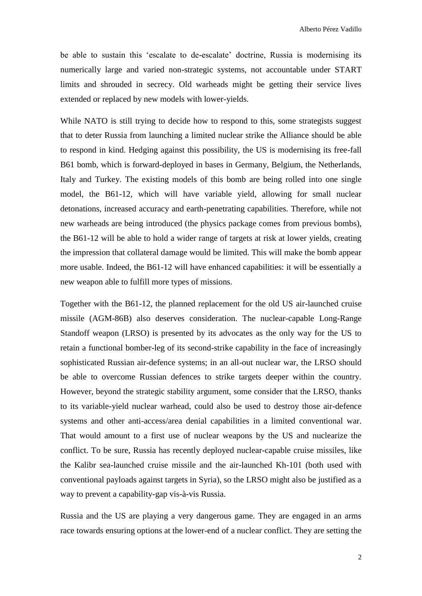Alberto Pérez Vadillo

be able to sustain this 'escalate to de-escalate' doctrine, Russia is modernising its numerically large and varied non-strategic systems, not accountable under START limits and shrouded in secrecy. Old warheads might be getting their service lives extended or replaced by new models with lower-yields.

While NATO is still trying to decide how to respond to this, some strategists suggest that to deter Russia from launching a limited nuclear strike the Alliance should be able to respond in kind. Hedging against this possibility, the US is modernising its free-fall B61 bomb, which is forward-deployed in bases in Germany, Belgium, the Netherlands, Italy and Turkey. The existing models of this bomb are being rolled into one single model, the B61-12, which will have variable yield, allowing for small nuclear detonations, increased accuracy and earth-penetrating capabilities. Therefore, while not new warheads are being introduced (the physics package comes from previous bombs), the B61-12 will be able to hold a wider range of targets at risk at lower yields, creating the impression that collateral damage would be limited. This will make the bomb appear more usable. Indeed, the B61-12 will have enhanced capabilities: it will be essentially a new weapon able to fulfill more types of missions.

Together with the B61-12, the planned replacement for the old US air-launched cruise missile (AGM-86B) also deserves consideration. The nuclear-capable Long-Range Standoff weapon (LRSO) is presented by its advocates as the only way for the US to retain a functional bomber-leg of its second-strike capability in the face of increasingly sophisticated Russian air-defence systems; in an all-out nuclear war, the LRSO should be able to overcome Russian defences to strike targets deeper within the country. However, beyond the strategic stability argument, some consider that the LRSO, thanks to its variable-yield nuclear warhead, could also be used to destroy those air-defence systems and other anti-access/area denial capabilities in a limited conventional war. That would amount to a first use of nuclear weapons by the US and nuclearize the conflict. To be sure, Russia has recently deployed nuclear-capable cruise missiles, like the Kalibr sea-launched cruise missile and the air-launched Kh-101 (both used with conventional payloads against targets in Syria), so the LRSO might also be justified as a way to prevent a capability-gap vis-à-vis Russia.

Russia and the US are playing a very dangerous game. They are engaged in an arms race towards ensuring options at the lower-end of a nuclear conflict. They are setting the